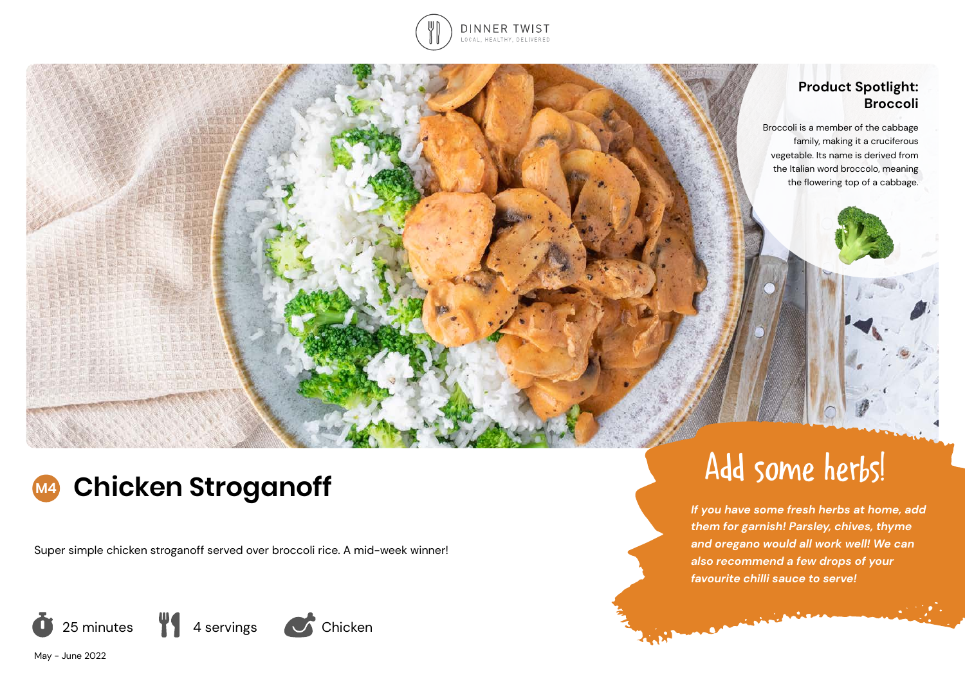

# **Product Spotlight: Broccoli**

 Broccoli is a member of the cabbage family, making it a cruciferous vegetable. Its name is derived from the Italian word broccolo, meaning the flowering top of a cabbage.

# **M4 Chicken Stroganoff**

Super simple chicken stroganoff served over broccoli rice. A mid-week winner!







# Add some herbs!

*If you have some fresh herbs at home, add them for garnish! Parsley, chives, thyme and oregano would all work well! We can also recommend a few drops of your favourite chilli sauce to serve!*

**Commission**